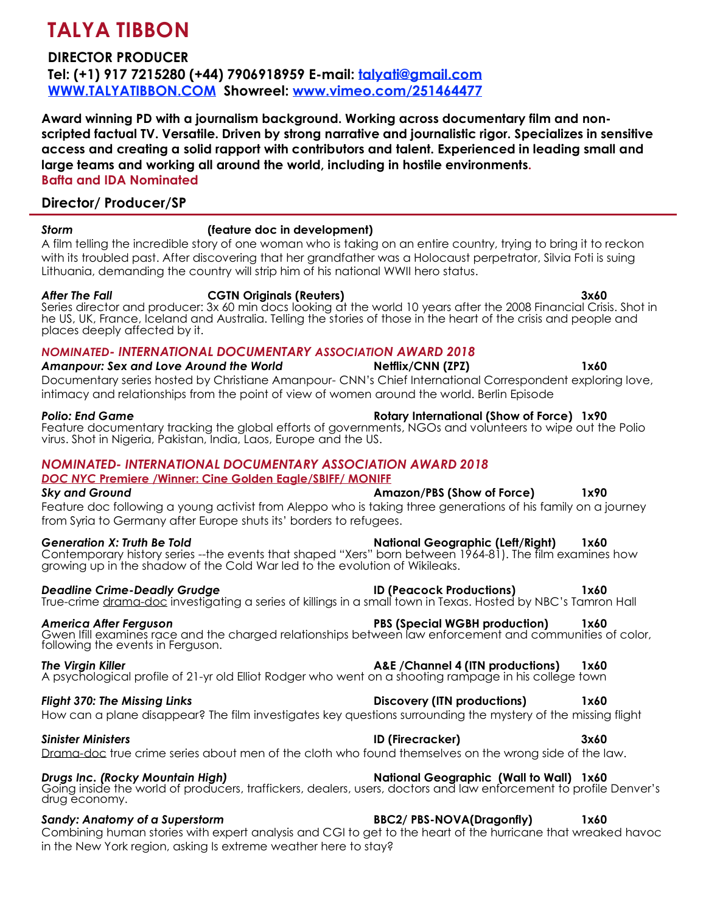# **TALYA TIBBON**

# **DIRECTOR PRODUCER**

**Tel: (+1) 917 7215280 (+44) 7906918959 E-mail: [talyati@gmail.com](mailto:talyati@gmail.com) [WWW.TALYATIBBON.COM](http://www.talyatibbon.com/) Showreel: www.vimeo.com/251464477**

**Award winning PD with a journalism background. Working across documentary film and nonscripted factual TV. Versatile. Driven by strong narrative and journalistic rigor. Specializes in sensitive access and creating a solid rapport with contributors and talent. Experienced in leading small and large teams and working all around the world, including in hostile environments. Bafta and IDA Nominated** 

# **Director/ Producer/SP**

places deeply affected by it.

### *Storm* **(feature doc in development)**

A film telling the incredible story of one woman who is taking on an entire country, trying to bring it to reckon with its troubled past. After discovering that her grandfather was a Holocaust perpetrator, Silvia Foti is suing Lithuania, demanding the country will strip him of his national WWII hero status.

*After The Fall* **CGTN Originals (Reuters) 3x60** Series director and producer: 3x 60 min docs looking at the world 10 years after the 2008 Financial Crisis. Shot in he US, UK, France, Iceland and Australia. Telling the stories of those in the heart of the crisis and people and

# *NOMINATED- INTERNATIONAL DOCUMENTARY ASSOCIATION AWARD 2018*

*Amanpour: Sex and Love Around the World* **Netflix/CNN (ZPZ) 1x60**  Documentary series hosted by Christiane Amanpour- CNN's Chief International Correspondent exploring love, intimacy and relationships from the point of view of women around the world. Berlin Episode

Feature documentary tracking the global efforts of governments, NGOs and volunteers to wipe out the Polio virus. Shot in Nigeria, Pakistan, India, Laos, Europe and the US.

### *NOMINATED- INTERNATIONAL DOCUMENTARY ASSOCIATION AWARD 2018*

### *DOC NYC* **Premiere /Winner: Cine Golden Eagle/SBIFF/ MONIFF**

### *Sky and Ground* **Amazon/PBS (Show of Force) 1x90** Feature doc following a young activist from Aleppo who is taking three generations of his family on a journey from Syria to Germany after Europe shuts its' borders to refugees.

Generation X: Truth Be Told **National Geographic (Left/Right)** 1x60 Contemporary history series --the events that shaped "Xers" born between 1964-81). The film examines how growing up in the shadow of the Cold War led to the evolution of Wikileaks.

### *Deadline Crime-Deadly Grudge* **ID (Peacock Productions) 1x60**

True-crime drama-doc investigating a series of killings in a small town in Texas. Hosted by NBC's Tamron Hall

Gwen Ifill examines race and the charged relationships between law enforcement and communities of color, following the events in Ferguson.

**The Virgin Killer A&E /Channel 4 (ITN productions) 1x60** *1x60* A psychological profile of 21-yr old Elliot Rodger who went on a shooting rampage in his college town

# *Flight 370: The Missing Links* **Discovery (ITN productions) 1x60**

How can a plane disappear? The film investigates key questions surrounding the mystery of the missing flight

# *Sinister Ministers* **ID (Firecracker) 3x60**

# Drama-doc true crime series about men of the cloth who found themselves on the wrong side of the law.

*Drugs Inc. (Rocky Mountain High)* **National Geographic (Wall to Wall) 1x60**  Going inside the world of producers, traffickers, dealers, users, doctors and law enforcement to profile Denver's drug economy.

*Sandy: Anatomy of a Superstorm* **BBC2/ PBS-NOVA(Dragonfly) 1x60**  Combining human stories with expert analysis and CGI to get to the heart of the hurricane that wreaked havoc in the New York region, asking Is extreme weather here to stay?

### *Polio: End Game* **Rotary International (Show of Force) 1x90**

### *America After Ferguson* **PBS (Special WGBH production) 1x60**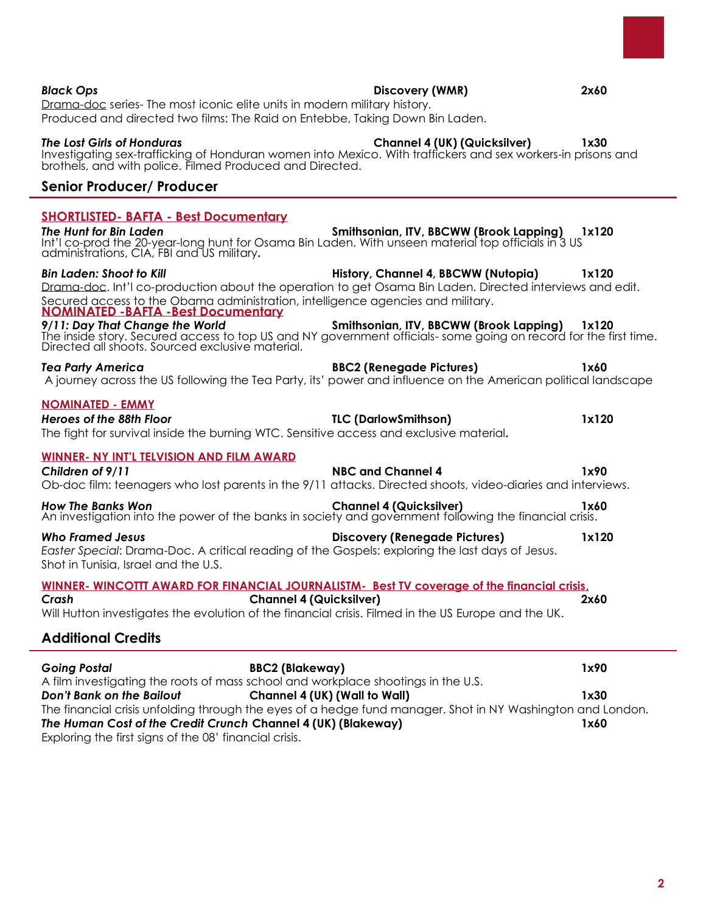### **SHORTLISTED- BAFTA - Best Documentary** *The Hunt for Bin Laden* **Smithsonian, ITV, BBCWW (Brook Lapping) 1x120**  Int'l co-prod the 20-year-long hunt for Osama Bin Laden. With unseen material top officials in 3 US administrations, CIA, FBI and US military**.** *Bin Laden: Shoot to Kill* **History, Channel 4, BBCWW (Nutopia) 1x120**  Drama-doc. Int'l co-production about the operation to get Osama Bin Laden. Directed interviews and edit. Secured access to the Obama administration, intelligence agencies and military. **NOMINATED -BAFTA -Best Documentary** *9/11: Day That Change the World* **Smithsonian, ITV, BBCWW (Brook Lapping) 1x120**  The inside story. Secured access to top US and NY government officials- some going on record for the first time. Directed all shoots. Sourced exclusive material. *Tea Party America* **BBC2 (Renegade Pictures) 1x60**  A journey across the US following the Tea Party, its' power and influence on the American political landscape **NOMINATED - EMMY** *Heroes of the 88th Floor* **TLC (DarlowSmithson) 1x120** The fight for survival inside the burning WTC. Sensitive access and exclusive material**. WINNER- NY INT'L TELVISION AND FILM AWARD** *Children of 9/11* **NBC and Channel 4 1x90**  Ob-doc film: teenagers who lost parents in the 9/11 attacks. Directed shoots, video-diaries and interviews. *How The Banks Won* **Channel 4 (Quicksilver) 1x60**  An investigation into the power of the banks in society and government following the financial crisis.

*Who Framed Jesus* **Discovery (Renegade Pictures) 1x120** *Easter Special*: Drama-Doc. A critical reading of the Gospels: exploring the last days of Jesus. Shot in Tunisia, Israel and the U.S.

### **WINNER- WINCOTTT AWARD FOR FINANCIAL JOURNALISTM- Best TV coverage of the financial crisis**.

*Crash* **Channel 4 (Quicksilver) 2x60**  Will Hutton investigates the evolution of the financial crisis. Filmed in the US Europe and the UK.

# **Additional Credits**

| <b>Going Postal</b>                                                                                        | <b>BBC2 (Blakeway)</b>                                                            | 1x90 |
|------------------------------------------------------------------------------------------------------------|-----------------------------------------------------------------------------------|------|
|                                                                                                            | A film investigating the roots of mass school and workplace shootings in the U.S. |      |
| <b>Don't Bank on the Bailout</b>                                                                           | Channel 4 (UK) (Wall to Wall)                                                     | 1x30 |
| The financial crisis unfolding through the eyes of a hedge fund manager. Shot in NY Washington and London. |                                                                                   |      |
| The Human Cost of the Credit Crunch Channel 4 (UK) (Blakeway)                                              |                                                                                   | 1x60 |
| Exploring the first signs of the 08' financial crisis.                                                     |                                                                                   |      |

*Black Ops* **Discovery (WMR) 2x60**  Drama-doc series- The most iconic elite units in modern military history. Produced and directed two films: The Raid on Entebbe, Taking Down Bin Laden.

### *The Lost Girls of Honduras* **Channel 4 (UK) (Quicksilver) 1x30**  Investigating sex-trafficking of Honduran women into Mexico. With traffickers and sex workers-in prisons and brothels, and with police. Filmed Produced and Directed.

# **Senior Producer/ Producer**